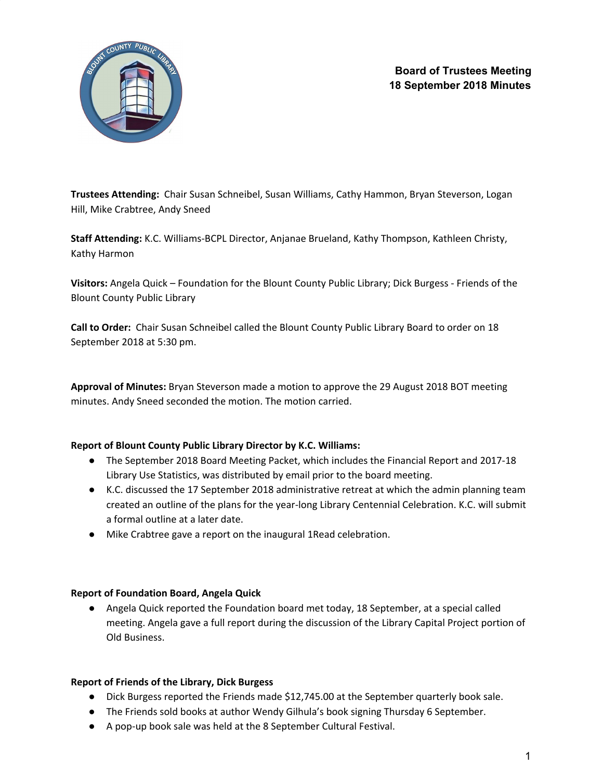

**Trustees Attending:** Chair Susan Schneibel, Susan Williams, Cathy Hammon, Bryan Steverson, Logan Hill, Mike Crabtree, Andy Sneed

**Staff Attending:** K.C. Williams-BCPL Director, Anjanae Brueland, Kathy Thompson, Kathleen Christy, Kathy Harmon

**Visitors:** Angela Quick – Foundation for the Blount County Public Library; Dick Burgess - Friends of the Blount County Public Library

**Call to Order:** Chair Susan Schneibel called the Blount County Public Library Board to order on 18 September 2018 at 5:30 pm.

**Approval of Minutes:** Bryan Steverson made a motion to approve the 29 August 2018 BOT meeting minutes. Andy Sneed seconded the motion. The motion carried.

# **Report of Blount County Public Library Director by K.C. Williams:**

- The September 2018 Board Meeting Packet, which includes the Financial Report and 2017-18 Library Use Statistics, was distributed by email prior to the board meeting.
- K.C. discussed the 17 September 2018 administrative retreat at which the admin planning team created an outline of the plans for the year-long Library Centennial Celebration. K.C. will submit a formal outline at a later date.
- Mike Crabtree gave a report on the inaugural 1Read celebration.

# **Report of Foundation Board, Angela Quick**

● Angela Quick reported the Foundation board met today, 18 September, at a special called meeting. Angela gave a full report during the discussion of the Library Capital Project portion of Old Business.

### **Report of Friends of the Library, Dick Burgess**

- Dick Burgess reported the Friends made \$12,745.00 at the September quarterly book sale.
- The Friends sold books at author Wendy Gilhula's book signing Thursday 6 September.
- A pop-up book sale was held at the 8 September Cultural Festival.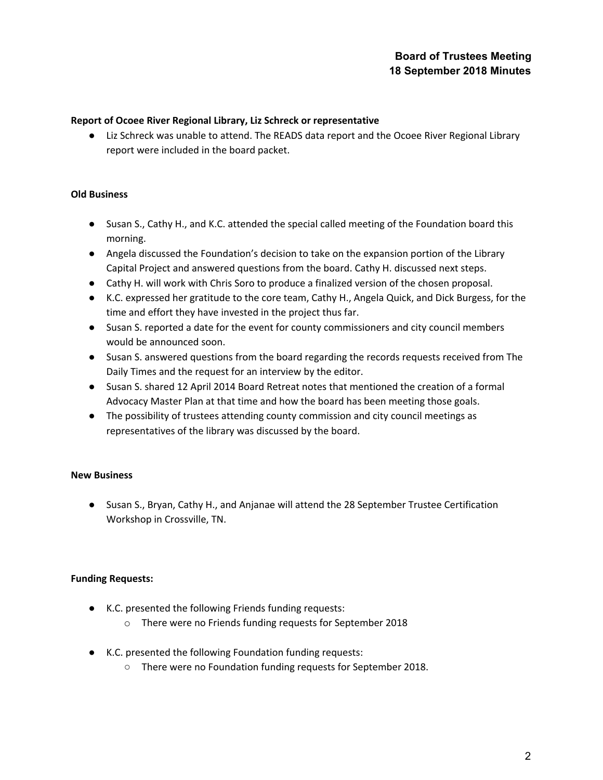## **Report of Ocoee River Regional Library, Liz Schreck or representative**

● Liz Schreck was unable to attend. The READS data report and the Ocoee River Regional Library report were included in the board packet.

## **Old Business**

- Susan S., Cathy H., and K.C. attended the special called meeting of the Foundation board this morning.
- Angela discussed the Foundation's decision to take on the expansion portion of the Library Capital Project and answered questions from the board. Cathy H. discussed next steps.
- Cathy H. will work with Chris Soro to produce a finalized version of the chosen proposal.
- K.C. expressed her gratitude to the core team, Cathy H., Angela Quick, and Dick Burgess, for the time and effort they have invested in the project thus far.
- Susan S. reported a date for the event for county commissioners and city council members would be announced soon.
- Susan S. answered questions from the board regarding the records requests received from The Daily Times and the request for an interview by the editor.
- Susan S. shared 12 April 2014 Board Retreat notes that mentioned the creation of a formal Advocacy Master Plan at that time and how the board has been meeting those goals.
- The possibility of trustees attending county commission and city council meetings as representatives of the library was discussed by the board.

# **New Business**

● Susan S., Bryan, Cathy H., and Anjanae will attend the 28 September Trustee Certification Workshop in Crossville, TN.

# **Funding Requests:**

- K.C. presented the following Friends funding requests:
	- o There were no Friends funding requests for September 2018
- K.C. presented the following Foundation funding requests:
	- There were no Foundation funding requests for September 2018.